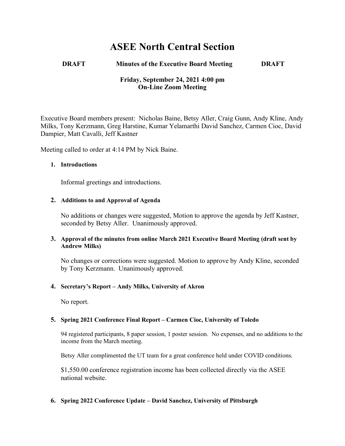# **ASEE North Central Section**

## **DRAFT Minutes of the Executive Board Meeting DRAFT**

# **Friday, September 24, 2021 4:00 pm On-Line Zoom Meeting**

Executive Board members present: Nicholas Baine, Betsy Aller, Craig Gunn, Andy Kline, Andy Milks, Tony Kerzmann, Greg Harstine, Kumar Yelamarthi David Sanchez, Carmen Cioc, David Dampier, Matt Cavalli, Jeff Kastner

Meeting called to order at 4:14 PM by Nick Baine.

## **1. Introductions**

Informal greetings and introductions.

## **2. Additions to and Approval of Agenda**

No additions or changes were suggested, Motion to approve the agenda by Jeff Kastner, seconded by Betsy Aller. Unanimously approved.

## **3. Approval of the minutes from online March 2021 Executive Board Meeting (draft sent by Andrew Milks)**

No changes or corrections were suggested. Motion to approve by Andy Kline, seconded by Tony Kerzmann. Unanimously approved.

## **4. Secretary's Report – Andy Milks, University of Akron**

No report.

#### **5. Spring 2021 Conference Final Report – Carmen Cioc, University of Toledo**

94 registered participants, 8 paper session, 1 poster session. No expenses, and no additions to the income from the March meeting.

Betsy Aller complimented the UT team for a great conference held under COVID conditions.

\$1,550.00 conference registration income has been collected directly via the ASEE national website.

#### **6. Spring 2022 Conference Update – David Sanchez, University of Pittsburgh**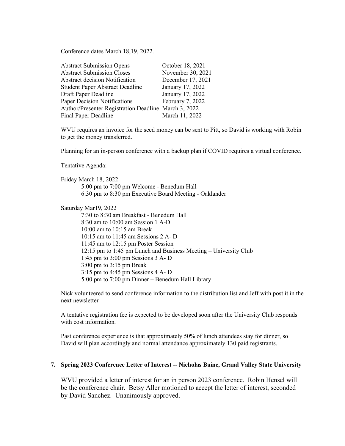Conference dates March 18,19, 2022.

| <b>Abstract Submission Opens</b>                     | October 18, 2021  |
|------------------------------------------------------|-------------------|
| <b>Abstract Submission Closes</b>                    | November 30, 2021 |
| <b>Abstract decision Notification</b>                | December 17, 2021 |
| <b>Student Paper Abstract Deadline</b>               | January 17, 2022  |
| Draft Paper Deadline                                 | January 17, 2022  |
| Paper Decision Notifications                         | February 7, 2022  |
| Author/Presenter Registration Deadline March 3, 2022 |                   |
| Final Paper Deadline                                 | March 11, 2022    |

WVU requires an invoice for the seed money can be sent to Pitt, so David is working with Robin to get the money transferred.

Planning for an in-person conference with a backup plan if COVID requires a virtual conference.

Tentative Agenda:

Friday March 18, 2022 5:00 pm to 7:00 pm Welcome - Benedum Hall 6:30 pm to 8:30 pm Executive Board Meeting - Oaklander

Saturday Mar19, 2022

7:30 to 8:30 am Breakfast - Benedum Hall 8:30 am to 10:00 am Session 1 A-D 10:00 am to 10:15 am Break 10:15 am to 11:45 am Sessions 2 A- D 11:45 am to 12:15 pm Poster Session 12:15 pm to 1:45 pm Lunch and Business Meeting – University Club 1:45 pm to 3:00 pm Sessions 3 A- D 3:00 pm to 3:15 pm Break 3:15 pm to 4:45 pm Sessions 4 A- D 5:00 pm to 7:00 pm Dinner – Benedum Hall Library

Nick volunteered to send conference information to the distribution list and Jeff with post it in the next newsletter

A tentative registration fee is expected to be developed soon after the University Club responds with cost information.

Past conference experience is that approximately 50% of lunch attendees stay for dinner, so David will plan accordingly and normal attendance approximately 130 paid registrants.

#### **7. Spring 2023 Conference Letter of Interest -- Nicholas Baine, Grand Valley State University**

WVU provided a letter of interest for an in person 2023 conference. Robin Hensel will be the conference chair. Betsy Aller motioned to accept the letter of interest, seconded by David Sanchez. Unanimously approved.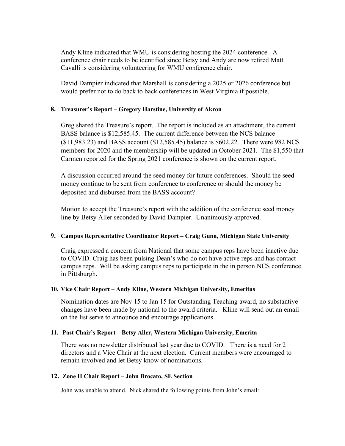Andy Kline indicated that WMU is considering hosting the 2024 conference. A conference chair needs to be identified since Betsy and Andy are now retired Matt Cavalli is considering volunteering for WMU conference chair.

David Dampier indicated that Marshall is considering a 2025 or 2026 conference but would prefer not to do back to back conferences in West Virginia if possible.

## **8. Treasurer's Report – Gregory Harstine, University of Akron**

Greg shared the Treasure's report. The report is included as an attachment, the current BASS balance is \$12,585.45. The current difference between the NCS balance (\$11,983.23) and BASS account (\$12,585.45) balance is \$602.22. There were 982 NCS members for 2020 and the membership will be updated in October 2021. The \$1,550 that Carmen reported for the Spring 2021 conference is shown on the current report.

A discussion occurred around the seed money for future conferences. Should the seed money continue to be sent from conference to conference or should the money be deposited and disbursed from the BASS account?

Motion to accept the Treasure's report with the addition of the conference seed money line by Betsy Aller seconded by David Dampier. Unanimously approved.

#### **9. Campus Representative Coordinator Report – Craig Gunn, Michigan State University**

Craig expressed a concern from National that some campus reps have been inactive due to COVID. Craig has been pulsing Dean's who do not have active reps and has contact campus reps. Will be asking campus reps to participate in the in person NCS conference in Pittsburgh.

#### **10. Vice Chair Report – Andy Kline, Western Michigan University, Emeritus**

Nomination dates are Nov 15 to Jan 15 for Outstanding Teaching award, no substantive changes have been made by national to the award criteria. Kline will send out an email on the list serve to announce and encourage applications.

#### **11. Past Chair's Report – Betsy Aller, Western Michigan University, Emerita**

There was no newsletter distributed last year due to COVID. There is a need for 2 directors and a Vice Chair at the next election. Current members were encouraged to remain involved and let Betsy know of nominations.

#### **12. Zone II Chair Report – John Brocato, SE Section**

John was unable to attend. Nick shared the following points from John's email: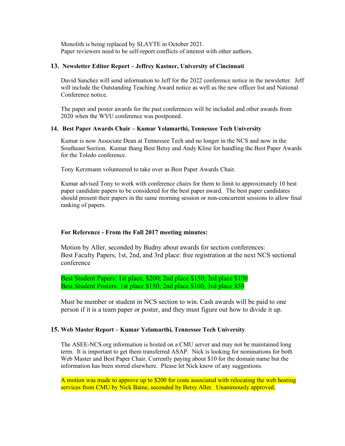Monolith is being replaced by SLAYTE in October 2021. Paper reviewers need to be self-report conflicts of interest with other authors.

#### **13. Newsletter Editor Report – Jeffrey Kastner, University of Cincinnati**

David Sanchez will send information to Jeff for the 2022 conference notice in the newsletter. Jeff will include the Outstanding Teaching Award notice as well as the new officer list and National Conference notice.

The paper and poster awards for the past conferences will be included and other awards from 2020 when the WVU conference was postponed.

#### **14. Best Paper Awards Chair – Kumar Yelamarthi, Tennessee Tech University**

Kumar is now Associate Dean at Tennessee Tech and no longer in the NCS and now in the Southeast Section. Kumar thang Best Betsy and Andy Kline for handling the Best Paper Awards for the Toledo conference.

Tony Kerzmann volunteered to take over as Best Paper Awards Chair.

Kumar advised Tony to work with conference chairs for them to limit to approximately 10 best paper candidate papers to be considered for the best paper award. The best paper candidates should present their papers in the same morning session or non-concurrent sessions to allow final ranking of papers.

#### **For Reference - From the Fall 2017 meeting minutes:**

Motion by Aller, seconded by Budny about awards for section conferences: Best Faculty Papers, 1st, 2nd, and 3rd place: free registration at the next NCS sectional conference

Best Student Papers: 1st place, \$200; 2nd place \$150; 3rd place \$100 Best Student Posters: 1st place \$150; 2nd place \$100; 3rd place \$50

Must be member or student in NCS section to win. Cash awards will be paid to one person if it is a team paper or poster, and they must figure out how to divide it up.

#### **15. Web Master Report – Kumar Yelamarthi, Tennessee Tech University**

The ASEE-NCS.org information is hosted on a CMU server and may not be maintained long term. It is important to get them transferred ASAP. Nick is looking for nominations for both Web Master and Best Paper Chair. Currently paying about \$10 for the domain name but the information has been stored elsewhere. Please let Nick know of any suggestions.

A motion was made to approve up to \$200 for costs associated with relocating the web hosting services from CMU by Nick Baine, seconded by Betsy Aller. Unanimously approved.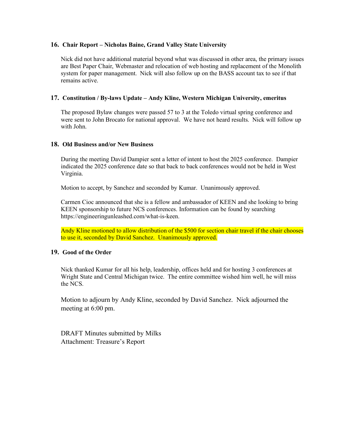#### **16. Chair Report – Nicholas Baine, Grand Valley State University**

Nick did not have additional material beyond what was discussed in other area, the primary issues are Best Paper Chair, Webmaster and relocation of web hosting and replacement of the Monolith system for paper management. Nick will also follow up on the BASS account tax to see if that remains active.

#### **17. Constitution / By-laws Update – Andy Kline, Western Michigan University, emeritus**

The proposed Bylaw changes were passed 57 to 3 at the Toledo virtual spring conference and were sent to John Brocato for national approval. We have not heard results. Nick will follow up with John.

#### **18. Old Business and/or New Business**

During the meeting David Dampier sent a letter of intent to host the 2025 conference. Dampier indicated the 2025 conference date so that back to back conferences would not be held in West Virginia.

Motion to accept, by Sanchez and seconded by Kumar. Unanimously approved.

Carmen Cioc announced that she is a fellow and ambassador of KEEN and she looking to bring KEEN sponsorship to future NCS conferences. Information can be found by searching https://engineeringunleashed.com/what-is-keen.

Andy Kline motioned to allow distribution of the \$500 for section chair travel if the chair chooses to use it, seconded by David Sanchez. Unanimously approved.

#### **19. Good of the Order**

Nick thanked Kumar for all his help, leadership, offices held and for hosting 3 conferences at Wright State and Central Michigan twice. The entire committee wished him well, he will miss the NCS.

Motion to adjourn by Andy Kline, seconded by David Sanchez. Nick adjourned the meeting at 6:00 pm.

DRAFT Minutes submitted by Milks Attachment: Treasure's Report